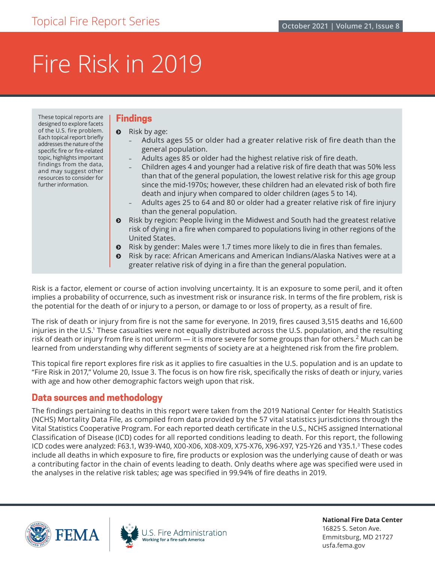# Fire Risk in 2019

These topical reports are designed to explore facets of the U.S. fire problem. Each topical report briefly addresses the nature of the specific fire or fire-related topic, highlights important findings from the data, and may suggest other resources to consider for further information.

## **Findings**

- $\bullet$  Risk by age:
	- Adults ages 55 or older had a greater relative risk of fire death than the general population.
	- Adults ages 85 or older had the highest relative risk of fire death.
	- Children ages 4 and younger had a relative risk of fire death that was 50% less than that of the general population, the lowest relative risk for this age group since the mid-1970s; however, these children had an elevated risk of both fire death and injury when compared to older children (ages 5 to 14).
	- Adults ages 25 to 64 and 80 or older had a greater relative risk of fire injury than the general population.
- $\odot$  Risk by region: People living in the Midwest and South had the greatest relative risk of dying in a fire when compared to populations living in other regions of the United States.
- $\odot$  Risk by gender: Males were 1.7 times more likely to die in fires than females.
- $\odot$  Risk by race: African Americans and American Indians/Alaska Natives were at a greater relative risk of dying in a fire than the general population.

Risk is a factor, element or course of action involving uncertainty. It is an exposure to some peril, and it often implies a probability of occurrence, such as investment risk or insurance risk. In terms of the fire problem, risk is the potential for the death of or injury to a person, or damage to or loss of property, as a result of fire.

The risk of death or injury from fire is not the same for everyone. In 2019, fires caused 3,515 deaths and 16,600 injuries in the U.S.1 These casualties were not equally distributed across the U.S. population, and the resulting risk of death or injury from fire is not uniform — it is more severe for some groups than for others.<sup>2</sup> Much can be learned from understanding why different segments of society are at a heightened risk from the fire problem.

This topical fire report explores fire risk as it applies to fire casualties in the U.S. population and is an update to "Fire Risk in 2017," Volume 20, Issue 3. The focus is on how fire risk, specifically the risks of death or injury, varies with age and how other demographic factors weigh upon that risk.

# **Data sources and methodology**

The findings pertaining to deaths in this report were taken from the 2019 National Center for Health Statistics (NCHS) Mortality Data File, as compiled from data provided by the 57 vital statistics jurisdictions through the Vital Statistics Cooperative Program. For each reported death certificate in the U.S., NCHS assigned International Classification of Disease (ICD) codes for all reported conditions leading to death. For this report, the following ICD codes were analyzed: F63.1, W39-W40, X00-X06, X08-X09, X75-X76, X96-X97, Y25-Y26 and Y35.1.3 These codes include all deaths in which exposure to fire, fire products or explosion was the underlying cause of death or was a contributing factor in the chain of events leading to death. Only deaths where age was specified were used in the analyses in the relative risk tables; age was specified in 99.94% of fire deaths in 2019.





**National Fire Data Center** 16825 S. Seton Ave. Emmitsburg, MD 21727 [usfa.fema.gov](http://usfa.fema.gov)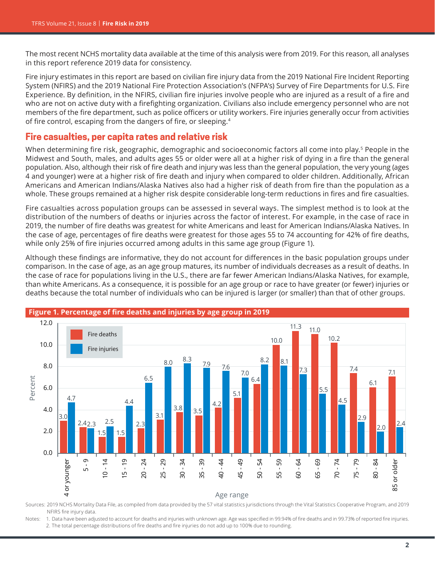The most recent NCHS mortality data available at the time of this analysis were from 2019. For this reason, all analyses in this report reference 2019 data for consistency.

Fire injury estimates in this report are based on civilian fire injury data from the 2019 National Fire Incident Reporting System (NFIRS) and the 2019 National Fire Protection Association's (NFPA's) Survey of Fire Departments for U.S. Fire Experience. By definition, in the NFIRS, civilian fire injuries involve people who are injured as a result of a fire and who are not on active duty with a firefighting organization. Civilians also include emergency personnel who are not members of the fire department, such as police officers or utility workers. Fire injuries generally occur from activities of fire control, escaping from the dangers of fire, or sleeping.<sup>4</sup>

## **Fire casualties, per capita rates and relative risk**

When determining fire risk, geographic, demographic and socioeconomic factors all come into play.<sup>5</sup> People in the Midwest and South, males, and adults ages 55 or older were all at a higher risk of dying in a fire than the general population. Also, although their risk of fire death and injury was less than the general population, the very young (ages 4 and younger) were at a higher risk of fire death and injury when compared to older children. Additionally, African Americans and American Indians/Alaska Natives also had a higher risk of death from fire than the population as a whole. These groups remained at a higher risk despite considerable long-term reductions in fires and fire casualties.

Fire casualties across population groups can be assessed in several ways. The simplest method is to look at the distribution of the numbers of deaths or injuries across the factor of interest. For example, in the case of race in 2019, the number of fire deaths was greatest for white Americans and least for American Indians/Alaska Natives. In the case of age, percentages of fire deaths were greatest for those ages 55 to 74 accounting for 42% of fire deaths, while only 25% of fire injuries occurred among adults in this same age group (Figure 1).

Although these findings are informative, they do not account for differences in the basic population groups under comparison. In the case of age, as an age group matures, its number of individuals decreases as a result of deaths. In the case of race for populations living in the U.S., there are far fewer American Indians/Alaska Natives, for example, than white Americans. As a consequence, it is possible for an age group or race to have greater (or fewer) injuries or deaths because the total number of individuals who can be injured is larger (or smaller) than that of other groups.



Sources: 2019 NCHS Mortality Data File, as compiled from data provided by the 57 vital statistics jurisdictions through the Vital Statistics Cooperative Program, and 2019 NFIRS fire injury data.

Notes: 1. Data have been adjusted to account for deaths and injuries with unknown age. Age was specified in 99.94% of fire deaths and in 99.73% of reported fire injuries. 2. The total percentage distributions of fire deaths and fire injuries do not add up to 100% due to rounding.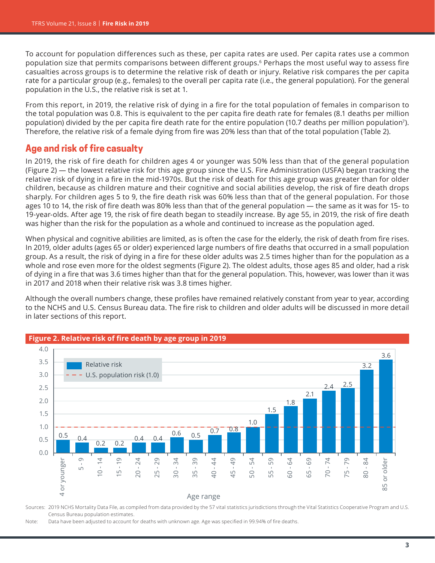To account for population differences such as these, per capita rates are used. Per capita rates use a common population size that permits comparisons between different groups.<sup>6</sup> Perhaps the most useful way to assess fire casualties across groups is to determine the relative risk of death or injury. Relative risk compares the per capita rate for a particular group (e.g., females) to the overall per capita rate (i.e., the general population). For the general population in the U.S., the relative risk is set at 1.

From this report, in 2019, the relative risk of dying in a fire for the total population of females in comparison to the total population was 0.8. This is equivalent to the per capita fire death rate for females (8.1 deaths per million population) divided by the per capita fire death rate for the entire population (10.7 deaths per million population<sup>7</sup>). Therefore, the relative risk of a female dying from fire was 20% less than that of the total population (Table 2).

## **Age and risk of fire casualty**

In 2019, the risk of fire death for children ages 4 or younger was 50% less than that of the general population (Figure 2) — the lowest relative risk for this age group since the U.S. Fire Administration (USFA) began tracking the relative risk of dying in a fire in the mid-1970s. But the risk of death for this age group was greater than for older children, because as children mature and their cognitive and social abilities develop, the risk of fire death drops sharply. For children ages 5 to 9, the fire death risk was 60% less than that of the general population. For those ages 10 to 14, the risk of fire death was 80% less than that of the general population — the same as it was for 15- to 19-year-olds. After age 19, the risk of fire death began to steadily increase. By age 55, in 2019, the risk of fire death was higher than the risk for the population as a whole and continued to increase as the population aged.

When physical and cognitive abilities are limited, as is often the case for the elderly, the risk of death from fire rises. In 2019, older adults (ages 65 or older) experienced large numbers of fire deaths that occurred in a small population group. As a result, the risk of dying in a fire for these older adults was 2.5 times higher than for the population as a whole and rose even more for the oldest segments (Figure 2). The oldest adults, those ages 85 and older, had a risk of dying in a fire that was 3.6 times higher than that for the general population. This, however, was lower than it was in 2017 and 2018 when their relative risk was 3.8 times higher.

Although the overall numbers change, these profiles have remained relatively constant from year to year, according to the NCHS and U.S. Census Bureau data. The fire risk to children and older adults will be discussed in more detail in later sections of this report.



#### **Figure 2. Relative risk of fire death by age group in 2019**

Sources: 2019 NCHS Mortality Data File, as compiled from data provided by the 57 vital statistics jurisdictions through the Vital Statistics Cooperative Program and U.S. Census Bureau population estimates.

Note: Data have been adjusted to account for deaths with unknown age. Age was specified in 99.94% of fire deaths.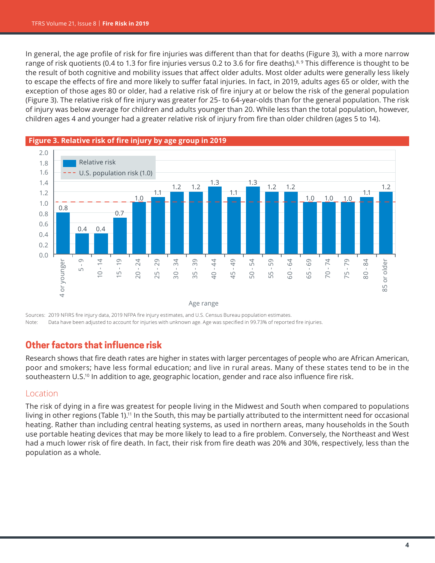In general, the age profile of risk for fire injuries was different than that for deaths (Figure 3), with a more narrow range of risk quotients (0.4 to 1.3 for fire injuries versus 0.2 to 3.6 for fire deaths).<sup>8, 9</sup> This difference is thought to be the result of both cognitive and mobility issues that affect older adults. Most older adults were generally less likely to escape the effects of fire and more likely to suffer fatal injuries. In fact, in 2019, adults ages 65 or older, with the exception of those ages 80 or older, had a relative risk of fire injury at or below the risk of the general population (Figure 3). The relative risk of fire injury was greater for 25- to 64-year-olds than for the general population. The risk of injury was below average for children and adults younger than 20. While less than the total population, however, children ages 4 and younger had a greater relative risk of injury from fire than older children (ages 5 to 14).



Sources: 2019 NFIRS fire injury data, 2019 NFPA fire injury estimates, and U.S. Census Bureau population estimates. Note: Data have been adjusted to account for injuries with unknown age. Age was specified in 99.73% of reported fire injuries.

## **Other factors that influence risk**

Research shows that fire death rates are higher in states with larger percentages of people who are African American, poor and smokers; have less formal education; and live in rural areas. Many of these states tend to be in the southeastern U.S.<sup>10</sup> In addition to age, geographic location, gender and race also influence fire risk.

#### Location

The risk of dying in a fire was greatest for people living in the Midwest and South when compared to populations living in other regions (Table 1).<sup>11</sup> In the South, this may be partially attributed to the intermittent need for occasional heating. Rather than including central heating systems, as used in northern areas, many households in the South use portable heating devices that may be more likely to lead to a fire problem. Conversely, the Northeast and West had a much lower risk of fire death. In fact, their risk from fire death was 20% and 30%, respectively, less than the population as a whole.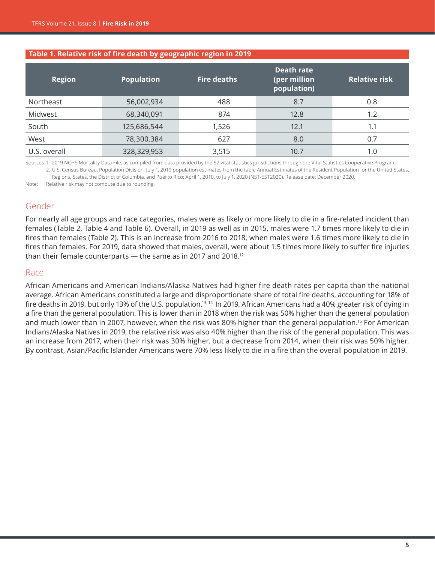| Table 1. Relative risk of fire death by geographic region in 2019 |  |
|-------------------------------------------------------------------|--|
|-------------------------------------------------------------------|--|

| <b>Region</b> | <b>Population</b> | <b>Fire deaths</b> | <b>Death rate</b><br>(per million<br>population) | <b>Relative risk</b> |
|---------------|-------------------|--------------------|--------------------------------------------------|----------------------|
| Northeast     | 56,002,934        | 488                | 8.7                                              | 0.8                  |
| Midwest       | 68,340,091        | 874                | 12.8                                             | 1.2                  |
| South         | 125,686,544       | 1,526              | 12.1                                             | 1.1                  |
| West          | 78,300,384        | 627                | 8.0                                              | 0.7                  |
| U.S. overall  | 328,329,953       | 3,515              | 10.7                                             | 1.0                  |

Sources: 1. 2019 NCHS Mortality Data File, as compiled from data provided by the 57 vital statistics jurisdictions through the Vital Statistics Cooperative Program. 2. U.S. Census Bureau, Population Division. July 1, 2019 population estimates from the table Annual Estimates of the Resident Population for the United States,

Regions, States, the District of Columbia, and Puerto Rico: April 1, 2010, to July 1, 2020 (NST-EST2020). Release date: December 2020.

Note: Relative risk may not compute due to rounding.

## Gender

For nearly all age groups and race categories, males were as likely or more likely to die in a fire-related incident than females (Table 2, Table 4 and Table 6). Overall, in 2019 as well as in 2015, males were 1.7 times more likely to die in fires than females (Table 2). This is an increase from 2016 to 2018, when males were 1.6 times more likely to die in fires than females. For 2019, data showed that males, overall, were about 1.5 times more likely to suffer fire injuries than their female counterparts — the same as in 2017 and 2018.<sup>12</sup>

#### Race

African Americans and American Indians/Alaska Natives had higher fire death rates per capita than the national average. African Americans constituted a large and disproportionate share of total fire deaths, accounting for 18% of fire deaths in 2019, but only 13% of the U.S. population.<sup>13, 14</sup> In 2019, African Americans had a 40% greater risk of dying in a fire than the general population. This is lower than in 2018 when the risk was 50% higher than the general population and much lower than in 2007, however, when the risk was 80% higher than the general population.15 For American Indians/Alaska Natives in 2019, the relative risk was also 40% higher than the risk of the general population. This was an increase from 2017, when their risk was 30% higher, but a decrease from 2014, when their risk was 50% higher. By contrast, Asian/Pacific Islander Americans were 70% less likely to die in a fire than the overall population in 2019.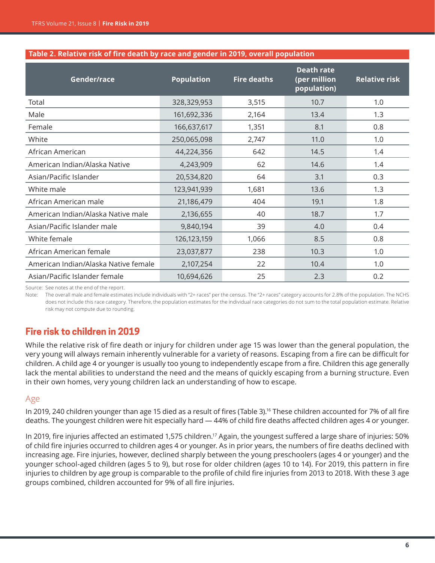| Gender/race                          | <b>Population</b> | <b>Fire deaths</b> | <b>Death rate</b><br>(per million<br>population) | <b>Relative risk</b> |
|--------------------------------------|-------------------|--------------------|--------------------------------------------------|----------------------|
| Total                                | 328,329,953       | 3,515              | 10.7                                             | 1.0                  |
| Male                                 | 161,692,336       | 2,164              | 13.4                                             | 1.3                  |
| Female                               | 166,637,617       | 1,351              | 8.1                                              | 0.8                  |
| White                                | 250,065,098       | 2,747              | 11.0                                             | 1.0                  |
| African American                     | 44,224,356        | 642                | 14.5                                             | 1.4                  |
| American Indian/Alaska Native        | 4,243,909         | 62                 | 14.6                                             | 1.4                  |
| Asian/Pacific Islander               | 20,534,820        | 64                 | 3.1                                              | 0.3                  |
| White male                           | 123,941,939       | 1,681              | 13.6                                             | 1.3                  |
| African American male                | 21,186,479        | 404                | 19.1                                             | 1.8                  |
| American Indian/Alaska Native male   | 2,136,655         | 40                 | 18.7                                             | 1.7                  |
| Asian/Pacific Islander male          | 9,840,194         | 39                 | 4.0                                              | 0.4                  |
| White female                         | 126,123,159       | 1,066              | 8.5                                              | 0.8                  |
| African American female              | 23,037,877        | 238                | 10.3                                             | 1.0                  |
| American Indian/Alaska Native female | 2,107,254         | 22                 | 10.4                                             | 1.0                  |
| Asian/Pacific Islander female        | 10,694,626        | 25                 | 2.3                                              | 0.2                  |

Source: See notes at the end of the report.

Note: The overall male and female estimates include individuals with "2+ races" per the census. The "2+ races" category accounts for 2.8% of the population. The NCHS does not include this race category. Therefore, the population estimates for the individual race categories do not sum to the total population estimate. Relative risk may not compute due to rounding.

# **Fire risk to children in 2019**

While the relative risk of fire death or injury for children under age 15 was lower than the general population, the very young will always remain inherently vulnerable for a variety of reasons. Escaping from a fire can be difficult for children. A child age 4 or younger is usually too young to independently escape from a fire. Children this age generally lack the mental abilities to understand the need and the means of quickly escaping from a burning structure. Even in their own homes, very young children lack an understanding of how to escape.

## Age

In 2019, 240 children younger than age 15 died as a result of fires (Table 3).<sup>16</sup> These children accounted for 7% of all fire deaths. The youngest children were hit especially hard — 44% of child fire deaths affected children ages 4 or younger.

In 2019, fire injuries affected an estimated 1,575 children.<sup>17</sup> Again, the youngest suffered a large share of injuries: 50% of child fire injuries occurred to children ages 4 or younger. As in prior years, the numbers of fire deaths declined with increasing age. Fire injuries, however, declined sharply between the young preschoolers (ages 4 or younger) and the younger school-aged children (ages 5 to 9), but rose for older children (ages 10 to 14). For 2019, this pattern in fire injuries to children by age group is comparable to the profile of child fire injuries from 2013 to 2018. With these 3 age groups combined, children accounted for 9% of all fire injuries.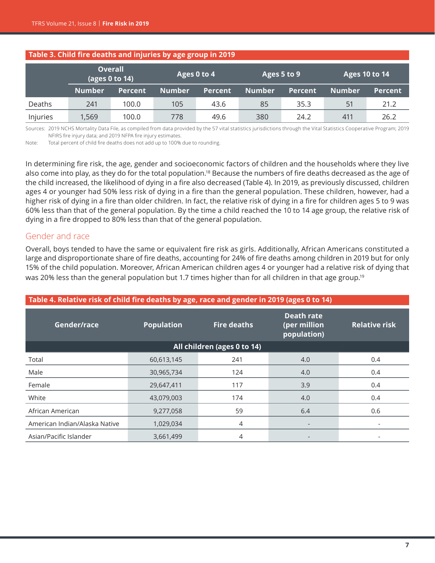| Table 3. Child fire deaths and injuries by age group in 2019 |                                                 |                |               |                |                      |         |               |                |  |
|--------------------------------------------------------------|-------------------------------------------------|----------------|---------------|----------------|----------------------|---------|---------------|----------------|--|
|                                                              | <b>Overall</b><br>Ages 0 to 4<br>(ages 0 to 14) |                | Ages 5 to 9   |                | <b>Ages 10 to 14</b> |         |               |                |  |
|                                                              | <b>Number</b>                                   | <b>Percent</b> | <b>Number</b> | <b>Percent</b> | <b>Number</b>        | Percent | <b>Number</b> | <b>Percent</b> |  |
| Deaths                                                       | 241                                             | 100.0          | 105           | 43.6           | 85                   | 35.3    | 51            | 21.2           |  |
| Injuries                                                     | 1,569                                           | 100.0          | 778           | 49.6           | 380                  | 24.2    | 411           | 26.2           |  |

Sources: 2019 NCHS Mortality Data File, as compiled from data provided by the 57 vital statistics jurisdictions through the Vital Statistics Cooperative Program; 2019 NFIRS fire injury data; and 2019 NFPA fire injury estimates.

Note: Total percent of child fire deaths does not add up to 100% due to rounding.

In determining fire risk, the age, gender and socioeconomic factors of children and the households where they live also come into play, as they do for the total population.<sup>18</sup> Because the numbers of fire deaths decreased as the age of the child increased, the likelihood of dying in a fire also decreased (Table 4). In 2019, as previously discussed, children ages 4 or younger had 50% less risk of dying in a fire than the general population. These children, however, had a higher risk of dying in a fire than older children. In fact, the relative risk of dying in a fire for children ages 5 to 9 was 60% less than that of the general population. By the time a child reached the 10 to 14 age group, the relative risk of dying in a fire dropped to 80% less than that of the general population.

#### Gender and race

Overall, boys tended to have the same or equivalent fire risk as girls. Additionally, African Americans constituted a large and disproportionate share of fire deaths, accounting for 24% of fire deaths among children in 2019 but for only 15% of the child population. Moreover, African American children ages 4 or younger had a relative risk of dying that was 20% less than the general population but 1.7 times higher than for all children in that age group.<sup>19</sup>

| Table 4. Relative risk of child fire deaths by age, race and gender in 2019 (ages 0 to 14) |                   |                    |                                                  |                      |  |  |
|--------------------------------------------------------------------------------------------|-------------------|--------------------|--------------------------------------------------|----------------------|--|--|
| Gender/race                                                                                | <b>Population</b> | <b>Fire deaths</b> | <b>Death rate</b><br>(per million<br>population) | <b>Relative risk</b> |  |  |
| All children (ages 0 to 14)                                                                |                   |                    |                                                  |                      |  |  |
| Total                                                                                      | 60,613,145        | 241                | 4.0                                              | 0.4                  |  |  |
| Male                                                                                       | 30,965,734        | 124                | 4.0                                              | 0.4                  |  |  |
| Female                                                                                     | 29,647,411        | 117                | 3.9                                              | 0.4                  |  |  |
| White                                                                                      | 43,079,003        | 174                | 4.0                                              | 0.4                  |  |  |
| African American                                                                           | 9,277,058         | 59                 | 6.4                                              | 0.6                  |  |  |
| American Indian/Alaska Native                                                              | 1,029,034         | 4                  | $\overline{a}$                                   |                      |  |  |
| Asian/Pacific Islander                                                                     | 3,661,499         | 4                  |                                                  |                      |  |  |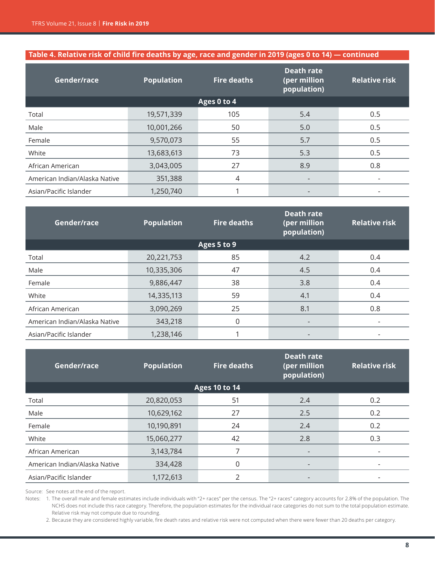#### **Table 4. Relative risk of child fire deaths by age, race and gender in 2019 (ages 0 to 14) — continued**

| Gender/race                   | <b>Population</b> | <b>Fire deaths</b> | <b>Death rate</b><br>(per million<br>population) | <b>Relative risk</b> |
|-------------------------------|-------------------|--------------------|--------------------------------------------------|----------------------|
|                               |                   | Ages 0 to 4        |                                                  |                      |
| Total                         | 19,571,339        | 105                | 5.4                                              | 0.5                  |
| Male                          | 10,001,266        | 50                 | 5.0                                              | 0.5                  |
| Female                        | 9,570,073         | 55                 | 5.7                                              | 0.5                  |
| White                         | 13,683,613        | 73                 | 5.3                                              | 0.5                  |
| African American              | 3,043,005         | 27                 | 8.9                                              | 0.8                  |
| American Indian/Alaska Native | 351,388           | 4                  | $\overline{\phantom{a}}$                         |                      |
| Asian/Pacific Islander        | 1,250,740         |                    | $\overline{\phantom{a}}$                         |                      |

| Gender/race                   | <b>Population</b> | <b>Fire deaths</b> | <b>Death rate</b><br>(per million<br>population) | <b>Relative risk</b> |
|-------------------------------|-------------------|--------------------|--------------------------------------------------|----------------------|
|                               |                   | Ages 5 to 9        |                                                  |                      |
| Total                         | 20,221,753        | 85                 | 4.2                                              | 0.4                  |
| Male                          | 10,335,306        | 47                 | 4.5                                              | 0.4                  |
| Female                        | 9,886,447         | 38                 | 3.8                                              | 0.4                  |
| White                         | 14,335,113        | 59                 | 4.1                                              | 0.4                  |
| African American              | 3,090,269         | 25                 | 8.1                                              | 0.8                  |
| American Indian/Alaska Native | 343,218           | 0                  | $\overline{\phantom{a}}$                         |                      |
| Asian/Pacific Islander        | 1,238,146         |                    | $\overline{\phantom{0}}$                         |                      |

| Gender/race                   | <b>Population</b> | <b>Fire deaths</b>   | <b>Death rate</b><br>(per million<br>population) | <b>Relative risk</b> |
|-------------------------------|-------------------|----------------------|--------------------------------------------------|----------------------|
|                               |                   | <b>Ages 10 to 14</b> |                                                  |                      |
| Total                         | 20,820,053        | 51                   | 2.4                                              | 0.2                  |
| Male                          | 10,629,162        | 27                   | 2.5                                              | 0.2                  |
| Female                        | 10,190,891        | 24                   | 2.4                                              | 0.2                  |
| White                         | 15,060,277        | 42                   | 2.8                                              | 0.3                  |
| African American              | 3,143,784         |                      | $\overline{\phantom{a}}$                         |                      |
| American Indian/Alaska Native | 334,428           | $\Omega$             |                                                  |                      |
| Asian/Pacific Islander        | 1,172,613         |                      |                                                  |                      |

Source: See notes at the end of the report.

Notes: 1. The overall male and female estimates include individuals with "2+ races" per the census. The "2+ races" category accounts for 2.8% of the population. The NCHS does not include this race category. Therefore, the population estimates for the individual race categories do not sum to the total population estimate. Relative risk may not compute due to rounding.

2. Because they are considered highly variable, fire death rates and relative risk were not computed when there were fewer than 20 deaths per category.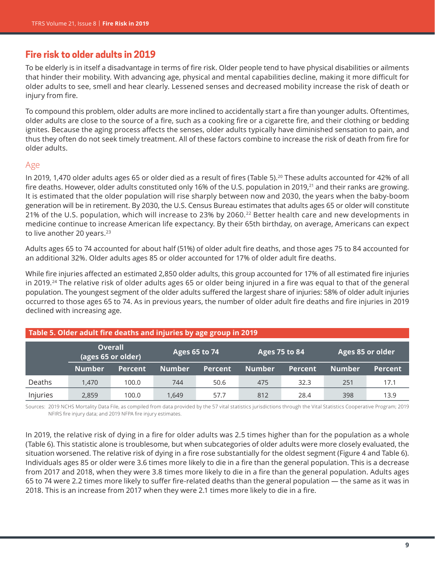# **Fire risk to older adults in 2019**

To be elderly is in itself a disadvantage in terms of fire risk. Older people tend to have physical disabilities or ailments that hinder their mobility. With advancing age, physical and mental capabilities decline, making it more difficult for older adults to see, smell and hear clearly. Lessened senses and decreased mobility increase the risk of death or injury from fire.

To compound this problem, older adults are more inclined to accidentally start a fire than younger adults. Oftentimes, older adults are close to the source of a fire, such as a cooking fire or a cigarette fire, and their clothing or bedding ignites. Because the aging process affects the senses, older adults typically have diminished sensation to pain, and thus they often do not seek timely treatment. All of these factors combine to increase the risk of death from fire for older adults.

#### Age

In 2019, 1,470 older adults ages 65 or older died as a result of fires (Table 5).<sup>20</sup> These adults accounted for 42% of all fire deaths. However, older adults constituted only 16% of the U.S. population in 2019,<sup>21</sup> and their ranks are growing. It is estimated that the older population will rise sharply between now and 2030, the years when the baby-boom generation will be in retirement. By 2030, the U.S. Census Bureau estimates that adults ages 65 or older will constitute 21% of the U.S. population, which will increase to 23% by 2060.<sup>22</sup> Better health care and new developments in medicine continue to increase American life expectancy. By their 65th birthday, on average, Americans can expect to live another 20 years.<sup>23</sup>

Adults ages 65 to 74 accounted for about half (51%) of older adult fire deaths, and those ages 75 to 84 accounted for an additional 32%. Older adults ages 85 or older accounted for 17% of older adult fire deaths.

While fire injuries affected an estimated 2,850 older adults, this group accounted for 17% of all estimated fire injuries in 2019.<sup>24</sup> The relative risk of older adults ages 65 or older being injured in a fire was equal to that of the general population. The youngest segment of the older adults suffered the largest share of injuries: 58% of older adult injuries occurred to those ages 65 to 74. As in previous years, the number of older adult fire deaths and fire injuries in 2019 declined with increasing age.

| Table 5. Older adult fire deaths and injuries by age group in 2019 |               |                |               |                      |               |                  |               |                |  |
|--------------------------------------------------------------------|---------------|----------------|---------------|----------------------|---------------|------------------|---------------|----------------|--|
| <b>Overall</b><br>(ages 65 or older)                               |               | Ages 65 to 74  |               | <b>Ages 75 to 84</b> |               | Ages 85 or older |               |                |  |
|                                                                    | <b>Number</b> | <b>Percent</b> | <b>Number</b> | <b>Percent</b>       | <b>Number</b> | <b>Percent</b>   | <b>Number</b> | <b>Percent</b> |  |
| Deaths                                                             | 1.470         | 100.0          | 744           | 50.6                 | 475           | 32.3             | 251           | 17.1           |  |
| Injuries                                                           | 2,859         | 100.0          | 1,649         | 57.7                 | 812           | 28.4             | 398           | 13.9           |  |

Sources: 2019 NCHS Mortality Data File, as compiled from data provided by the 57 vital statistics jurisdictions through the Vital Statistics Cooperative Program; 2019 NFIRS fire injury data; and 2019 NFPA fire injury estimates.

In 2019, the relative risk of dying in a fire for older adults was 2.5 times higher than for the population as a whole (Table 6). This statistic alone is troublesome, but when subcategories of older adults were more closely evaluated, the situation worsened. The relative risk of dying in a fire rose substantially for the oldest segment (Figure 4 and Table 6). Individuals ages 85 or older were 3.6 times more likely to die in a fire than the general population. This is a decrease from 2017 and 2018, when they were 3.8 times more likely to die in a fire than the general population. Adults ages 65 to 74 were 2.2 times more likely to suffer fire-related deaths than the general population — the same as it was in 2018. This is an increase from 2017 when they were 2.1 times more likely to die in a fire.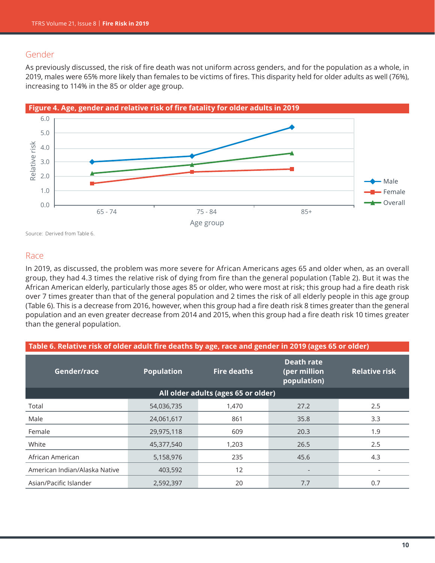#### Gender

As previously discussed, the risk of fire death was not uniform across genders, and for the population as a whole, in 2019, males were 65% more likely than females to be victims of fires. This disparity held for older adults as well (76%), increasing to 114% in the 85 or older age group.



Source: Derived from Table 6.

#### Race

In 2019, as discussed, the problem was more severe for African Americans ages 65 and older when, as an overall group, they had 4.3 times the relative risk of dying from fire than the general population (Table 2). But it was the African American elderly, particularly those ages 85 or older, who were most at risk; this group had a fire death risk over 7 times greater than that of the general population and 2 times the risk of all elderly people in this age group (Table 6). This is a decrease from 2016, however, when this group had a fire death risk 8 times greater than the general population and an even greater decrease from 2014 and 2015, when this group had a fire death risk 10 times greater than the general population.

| (able 6. Relative risk of older adult fire deaths by age, race and gender in 2019 (ages 65 or older |                                     |                    |                                                  |                      |  |  |  |
|-----------------------------------------------------------------------------------------------------|-------------------------------------|--------------------|--------------------------------------------------|----------------------|--|--|--|
| Gender/race                                                                                         | <b>Population</b>                   | <b>Fire deaths</b> | <b>Death rate</b><br>(per million<br>population) | <b>Relative risk</b> |  |  |  |
|                                                                                                     | All older adults (ages 65 or older) |                    |                                                  |                      |  |  |  |
| Total                                                                                               | 54,036,735                          | 1,470              | 27.2                                             | 2.5                  |  |  |  |
| Male                                                                                                | 24,061,617                          | 861                | 35.8                                             | 3.3                  |  |  |  |
| Female                                                                                              | 29,975,118                          | 609                | 20.3                                             | 1.9                  |  |  |  |
| White                                                                                               | 45,377,540                          | 1,203              | 26.5                                             | 2.5                  |  |  |  |
| African American                                                                                    | 5,158,976                           | 235                | 45.6                                             | 4.3                  |  |  |  |
| American Indian/Alaska Native                                                                       | 403,592                             | 12                 | $\overline{\phantom{a}}$                         |                      |  |  |  |
| Asian/Pacific Islander                                                                              | 2,592,397                           | 20                 | 7.7                                              | 0.7                  |  |  |  |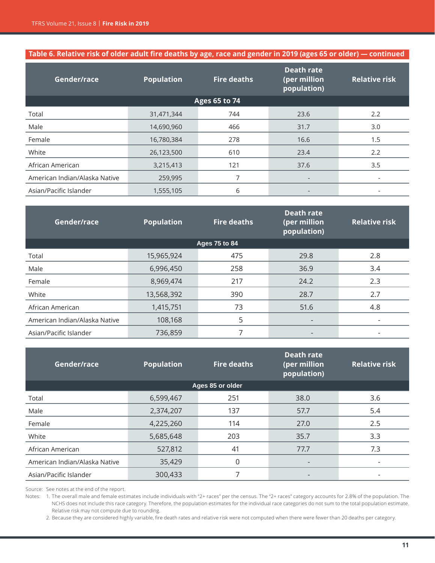## **Table 6. Relative risk of older adult fire deaths by age, race and gender in 2019 (ages 65 or older) — continued**

| Gender/race                   | <b>Population</b> | <b>Fire deaths</b>   | <b>Death rate</b><br>(per million<br>population) | <b>Relative risk</b> |
|-------------------------------|-------------------|----------------------|--------------------------------------------------|----------------------|
|                               |                   | <b>Ages 65 to 74</b> |                                                  |                      |
| Total                         | 31,471,344        | 744                  | 23.6                                             | 2.2                  |
| Male                          | 14,690,960        | 466                  | 31.7                                             | 3.0                  |
| Female                        | 16,780,384        | 278                  | 16.6                                             | 1.5                  |
| White                         | 26,123,500        | 610                  | 23.4                                             | 2.2                  |
| African American              | 3,215,413         | 121                  | 37.6                                             | 3.5                  |
| American Indian/Alaska Native | 259,995           | 7                    | $\overline{\phantom{0}}$                         |                      |
| Asian/Pacific Islander        | 1,555,105         | 6                    | $\overline{a}$                                   |                      |

| Gender/race                   | <b>Population</b> | <b>Fire deaths</b> | <b>Death rate</b><br>(per million<br>population) | <b>Relative risk</b> |  |  |  |
|-------------------------------|-------------------|--------------------|--------------------------------------------------|----------------------|--|--|--|
| Ages 75 to 84                 |                   |                    |                                                  |                      |  |  |  |
| Total                         | 15,965,924        | 475                | 29.8                                             | 2.8                  |  |  |  |
| Male                          | 6,996,450         | 258                | 36.9                                             | 3.4                  |  |  |  |
| Female                        | 8,969,474         | 217                | 24.2                                             | 2.3                  |  |  |  |
| White                         | 13,568,392        | 390                | 28.7                                             | 2.7                  |  |  |  |
| African American              | 1,415,751         | 73                 | 51.6                                             | 4.8                  |  |  |  |
| American Indian/Alaska Native | 108,168           | 5                  | $\overline{\phantom{a}}$                         |                      |  |  |  |
| Asian/Pacific Islander        | 736,859           |                    |                                                  |                      |  |  |  |

| Gender/race                   | <b>Population</b> | <b>Fire deaths</b> | <b>Death rate</b><br>(per million<br>population) | <b>Relative risk</b> |  |  |
|-------------------------------|-------------------|--------------------|--------------------------------------------------|----------------------|--|--|
| Ages 85 or older              |                   |                    |                                                  |                      |  |  |
| Total                         | 6,599,467         | 251                | 38.0                                             | 3.6                  |  |  |
| Male                          | 2,374,207         | 137                | 57.7                                             | 5.4                  |  |  |
| Female                        | 4,225,260         | 114                | 27.0                                             | 2.5                  |  |  |
| White                         | 5,685,648         | 203                | 35.7                                             | 3.3                  |  |  |
| African American              | 527,812           | 41                 | 77.7                                             | 7.3                  |  |  |
| American Indian/Alaska Native | 35,429            | 0                  | $\overline{\phantom{0}}$                         |                      |  |  |
| Asian/Pacific Islander        | 300,433           |                    |                                                  |                      |  |  |

Source: See notes at the end of the report.

Notes: 1. The overall male and female estimates include individuals with "2+ races" per the census. The "2+ races" category accounts for 2.8% of the population. The NCHS does not include this race category. Therefore, the population estimates for the individual race categories do not sum to the total population estimate. Relative risk may not compute due to rounding.

2. Because they are considered highly variable, fire death rates and relative risk were not computed when there were fewer than 20 deaths per category.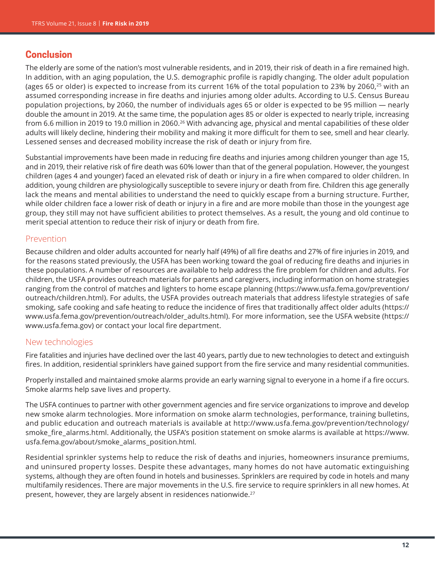# **Conclusion**

The elderly are some of the nation's most vulnerable residents, and in 2019, their risk of death in a fire remained high. In addition, with an aging population, the U.S. demographic profile is rapidly changing. The older adult population (ages 65 or older) is expected to increase from its current 16% of the total population to 23% by 2060,<sup>25</sup> with an assumed corresponding increase in fire deaths and injuries among older adults. According to U.S. Census Bureau population projections, by 2060, the number of individuals ages 65 or older is expected to be 95 million — nearly double the amount in 2019. At the same time, the population ages 85 or older is expected to nearly triple, increasing from 6.6 million in 2019 to 19.0 million in 2060.<sup>26</sup> With advancing age, physical and mental capabilities of these older adults will likely decline, hindering their mobility and making it more difficult for them to see, smell and hear clearly. Lessened senses and decreased mobility increase the risk of death or injury from fire.

Substantial improvements have been made in reducing fire deaths and injuries among children younger than age 15, and in 2019, their relative risk of fire death was 60% lower than that of the general population. However, the youngest children (ages 4 and younger) faced an elevated risk of death or injury in a fire when compared to older children. In addition, young children are physiologically susceptible to severe injury or death from fire. Children this age generally lack the means and mental abilities to understand the need to quickly escape from a burning structure. Further, while older children face a lower risk of death or injury in a fire and are more mobile than those in the youngest age group, they still may not have sufficient abilities to protect themselves. As a result, the young and old continue to merit special attention to reduce their risk of injury or death from fire.

#### **Prevention**

Because children and older adults accounted for nearly half (49%) of all fire deaths and 27% of fire injuries in 2019, and for the reasons stated previously, the USFA has been working toward the goal of reducing fire deaths and injuries in these populations. A number of resources are available to help address the fire problem for children and adults. For children, the USFA provides outreach materials for parents and caregivers, including information on home strategies ranging from the control of matches and lighters to home escape planning ([https://www.usfa.fema.gov/prevention/](https://www.usfa.fema.gov/prevention/outreach/children.html) [outreach/children.html](https://www.usfa.fema.gov/prevention/outreach/children.html)). For adults, the USFA provides outreach materials that address lifestyle strategies of safe smoking, safe cooking and safe heating to reduce the incidence of fires that traditionally affect older adults [\(https://](https://www.usfa.fema.gov/prevention/outreach/older_adults.html) [www.usfa.fema.gov/prevention/outreach/older\\_adults.html](https://www.usfa.fema.gov/prevention/outreach/older_adults.html)). For more information, see the USFA website [\(https://](https://www.usfa.fema.gov) [www.usfa.fema.gov](https://www.usfa.fema.gov)) or contact your local fire department.

## New technologies

Fire fatalities and injuries have declined over the last 40 years, partly due to new technologies to detect and extinguish fires. In addition, residential sprinklers have gained support from the fire service and many residential communities.

Properly installed and maintained smoke alarms provide an early warning signal to everyone in a home if a fire occurs. Smoke alarms help save lives and property.

The USFA continues to partner with other government agencies and fire service organizations to improve and develop new smoke alarm technologies. More information on smoke alarm technologies, performance, training bulletins, and public education and outreach materials is available at [http://www.usfa.fema.gov/prevention/technology/](http://www.usfa.fema.gov/prevention/technology/smoke_fire_alarms.html) [smoke\\_fire\\_alarms.html.](http://www.usfa.fema.gov/prevention/technology/smoke_fire_alarms.html) Additionally, the USFA's position statement on smoke alarms is available at [https://www.](https://www.usfa.fema.gov/about/smoke_alarms_position.html) [usfa.fema.gov/about/smoke\\_alarms\\_position.html](https://www.usfa.fema.gov/about/smoke_alarms_position.html).

Residential sprinkler systems help to reduce the risk of deaths and injuries, homeowners insurance premiums, and uninsured property losses. Despite these advantages, many homes do not have automatic extinguishing systems, although they are often found in hotels and businesses. Sprinklers are required by code in hotels and many multifamily residences. There are major movements in the U.S. fire service to require sprinklers in all new homes. At present, however, they are largely absent in residences nationwide.<sup>27</sup>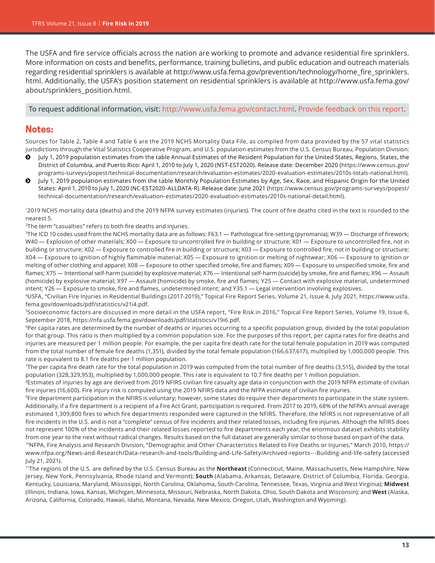The USFA and fire service officials across the nation are working to promote and advance residential fire sprinklers. More information on costs and benefits, performance, training bulletins, and public education and outreach materials regarding residential sprinklers is available at [http://www.usfa.fema.gov/prevention/technology/home\\_fire\\_sprinklers.](http://www.usfa.fema.gov/prevention/technology/home_fire_sprinklers.html) [html](http://www.usfa.fema.gov/prevention/technology/home_fire_sprinklers.html). Additionally, the USFA's position statement on residential sprinklers is available at [http://www.usfa.fema.gov/](http://www.usfa.fema.gov/about/sprinklers_position.html) [about/sprinklers\\_position.html](http://www.usfa.fema.gov/about/sprinklers_position.html).

To request additional information, visit:<http://www.usfa.fema.gov/contact.html>. [Provide feedback on this report](https://apps.usfa.fema.gov/contact/dataReportEval?reportTitle=Fire%20Risk%20in%202019).

#### **Notes:**

Sources for Table 2, Table 4 and Table 6 are the 2019 NCHS Mortality Data File, as compiled from data provided by the 57 vital statistics jurisdictions through the Vital Statistics Cooperative Program, and U.S. population estimates from the U.S. Census Bureau, Population Division:

- ĵ July 1, 2019 population estimates from the table Annual Estimates of the Resident Population for the United States, Regions, States, the District of Columbia, and Puerto Rico: April 1, 2010 to July 1, 2020 (NST-EST2020). Release date: December 2020 ([https://www.census.gov/](https://www.census.gov/programs-surveys/popest/technical-documentation/research/evaluation-estimates/2020-evaluation-estimates/2010s-totals-national.html) [programs-surveys/popest/technical-documentation/research/evaluation-estimates/2020-evaluation-estimates/2010s-totals-national.html](https://www.census.gov/programs-surveys/popest/technical-documentation/research/evaluation-estimates/2020-evaluation-estimates/2010s-totals-national.html)).
- ĵ July 1, 2019 population estimates from the table Monthly Population Estimates by Age, Sex, Race, and Hispanic Origin for the United States: April 1, 2010 to July 1, 2020 (NC-EST2020-ALLDATA-R). Release date: June 2021 [\(https://www.census.gov/programs-surveys/popest/](https://www.census.gov/programs-surveys/popest/technical-documentation/research/evaluation-estimates/2020-evaluation-estimates/2010s-national-detail.html) [technical-documentation/research/evaluation-estimates/2020-evaluation-estimates/2010s-national-detail.html\)](https://www.census.gov/programs-surveys/popest/technical-documentation/research/evaluation-estimates/2020-evaluation-estimates/2010s-national-detail.html).

1 2019 NCHS mortality data (deaths) and the 2019 NFPA survey estimates (injuries). The count of fire deaths cited in the text is rounded to the nearest 5.

2 The term "casualties" refers to both fire deaths and injuries.

3 The ICD 10 codes used from the NCHS mortality data are as follows: F63.1 — Pathological fire-setting (pyromania); W39 — Discharge of firework; W40 - Explosion of other materials; X00 - Exposure to uncontrolled fire in building or structure; X01 - Exposure to uncontrolled fire, not in building or structure; X02 — Exposure to controlled fire in building or structure; X03 — Exposure to controlled fire, not in building or structure; X04 — Exposure to ignition of highly flammable material; X05 — Exposure to ignition or melting of nightwear; X06 — Exposure to ignition or melting of other clothing and apparel; X08 — Exposure to other specified smoke, fire and flames; X09 — Exposure to unspecified smoke, fire and flames; X75 — Intentional self-harm (suicide) by explosive material; X76 — Intentional self-harm (suicide) by smoke, fire and flames; X96 — Assault (homicide) by explosive material; X97 — Assault (homicide) by smoke, fire and flames; Y25 — Contact with explosive material, undetermined intent; Y26 — Exposure to smoke, fire and flames, undetermined intent; and Y35.1 — Legal intervention involving explosives.

4 USFA, "Civilian Fire Injuries in Residential Buildings (2017-2019)," Topical Fire Report Series, Volume 21, Issue 4, July 2021, [https://www.usfa.](https://www.usfa.fema.gov/downloads/pdf/statistics/v21i4.pdf) [fema.gov/downloads/pdf/statistics/v21i4.pdf](https://www.usfa.fema.gov/downloads/pdf/statistics/v21i4.pdf).

5 Socioeconomic factors are discussed in more detail in the USFA report, "Fire Risk in 2016," Topical Fire Report Series, Volume 19, Issue 6, September 2018, <https://nfa.usfa.fema.gov/downloads/pdf/statistics/v19i6.pdf>.

<sup>6</sup>Per capita rates are determined by the number of deaths or injuries occurring to a specific population group, divided by the total population for that group. This ratio is then multiplied by a common population size. For the purposes of this report, per capita rates for fire deaths and injuries are measured per 1 million people. For example, the per capita fire death rate for the total female population in 2019 was computed from the total number of female fire deaths (1,351), divided by the total female population (166,637,617), multiplied by 1,000,000 people. This rate is equivalent to 8.1 fire deaths per 1 million population.

7 The per capita fire death rate for the total population in 2019 was computed from the total number of fire deaths (3,515), divided by the total population (328,329,953), multiplied by 1,000,000 people. This rate is equivalent to 10.7 fire deaths per 1 million population.

8 Estimates of injuries by age are derived from 2019 NFIRS civilian fire casualty age data in conjunction with the 2019 NFPA estimate of civilian fire injuries (16,600). Fire injury risk is computed using the 2019 NFIRS data and the NFPA estimate of civilian fire injuries.

9 Fire department participation in the NFIRS is voluntary; however, some states do require their departments to participate in the state system. Additionally, if a fire department is a recipient of a Fire Act Grant, participation is required. From 2017 to 2019, 68% of the NFPA's annual average estimated 1,309,800 fires to which fire departments responded were captured in the NFIRS. Therefore, the NFIRS is not representative of all fire incidents in the U.S. and is not a "complete" census of fire incidents and their related losses, including fire injuries. Although the NFIRS does not represent 100% of the incidents and their related losses reported to fire departments each year, the enormous dataset exhibits stability from one year to the next without radical changes. Results based on the full dataset are generally similar to those based on part of the data.

10NFPA, Fire Analysis and Research Division, "Demographic and Other Characteristics Related to Fire Deaths or Injuries," March 2010, [https://](https://www.nfpa.org/News-and-Research/Data-research-and-tools/Building-and-Life-Safety/Archived-reports---Building-and-life-safety) [www.nfpa.org/News-and-Research/Data-research-and-tools/Building-and-Life-Safety/Archived-reports---Building-and-life-safety](https://www.nfpa.org/News-and-Research/Data-research-and-tools/Building-and-Life-Safety/Archived-reports---Building-and-life-safety) (accessed July 21, 2021).

<sup>11</sup>The regions of the U.S. are defined by the U.S. Census Bureau as the **Northeast** (Connecticut, Maine, Massachusetts, New Hampshire, New Jersey, New York, Pennsylvania, Rhode Island and Vermont); **South** (Alabama, Arkansas, Delaware, District of Columbia, Florida, Georgia, Kentucky, Louisiana, Maryland, Mississippi, North Carolina, Oklahoma, South Carolina, Tennessee, Texas, Virginia and West Virginia); **Midwest** (Illinois, Indiana, Iowa, Kansas, Michigan, Minnesota, Missouri, Nebraska, North Dakota, Ohio, South Dakota and Wisconsin); and **West** (Alaska, Arizona, California, Colorado, Hawaii, Idaho, Montana, Nevada, New Mexico, Oregon, Utah, Washington and Wyoming).